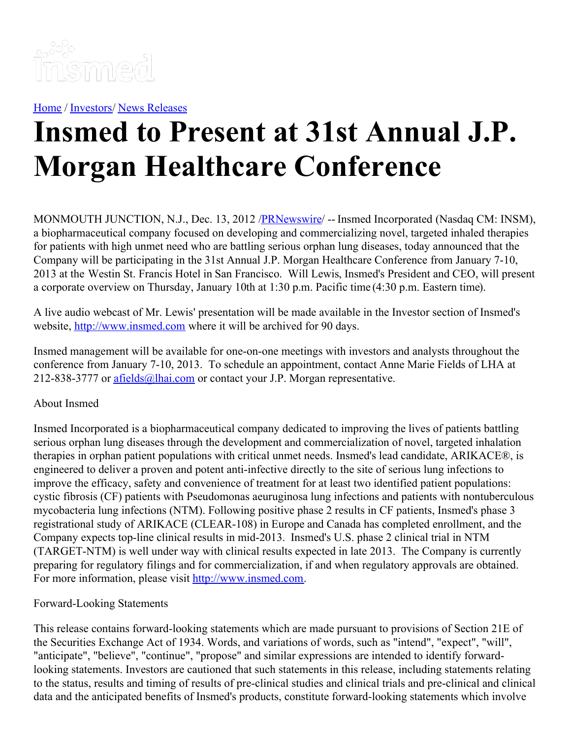

[Home](https://insmed.com/) / [Investors](https://investor.insmed.com/index)/ News [Releases](https://investor.insmed.com/releases)

## **Insmed to Present at 31st Annual J.P. Morgan Healthcare Conference**

MONMOUTH JUNCTION, N.J., Dec. 13, 2012 /**PRNewswire/** -- Insmed Incorporated (Nasdaq CM: INSM), a biopharmaceutical company focused on developing and commercializing novel, targeted inhaled therapies for patients with high unmet need who are battling serious orphan lung diseases, today announced that the Company will be participating in the 31st Annual J.P. Morgan Healthcare Conference from January 7-10, 2013 at the Westin St. Francis Hotel in San Francisco. Will Lewis, Insmed's President and CEO, will present a corporate overview on Thursday, January 10th at 1:30 p.m. Pacific time (4:30 p.m. Eastern time).

A live audio webcast of Mr. Lewis' presentation will be made available in the Investor section of Insmed's website, [http://www.insmed.com](http://www.insmed.com/) where it will be archived for 90 days.

Insmed management will be available for one-on-one meetings with investors and analysts throughout the conference from January 7-10, 2013. To schedule an appointment, contact Anne Marie Fields of LHA at 212-838-3777 or [afields@lhai.com](mailto:afields@lhai.com) or contact your J.P. Morgan representative.

## About Insmed

Insmed Incorporated is a biopharmaceutical company dedicated to improving the lives of patients battling serious orphan lung diseases through the development and commercialization of novel, targeted inhalation therapies in orphan patient populations with critical unmet needs. Insmed's lead candidate, ARIKACE®, is engineered to deliver a proven and potent anti-infective directly to the site of serious lung infections to improve the efficacy, safety and convenience of treatment for at least two identified patient populations: cystic fibrosis (CF) patients with Pseudomonas aeuruginosa lung infections and patients with nontuberculous mycobacteria lung infections (NTM). Following positive phase 2 results in CF patients, Insmed's phase 3 registrational study of ARIKACE (CLEAR-108) in Europe and Canada has completed enrollment, and the Company expects top-line clinical results in mid-2013. Insmed's U.S. phase 2 clinical trial in NTM (TARGET-NTM) is well under way with clinical results expected in late 2013. The Company is currently preparing for regulatory filings and for commercialization, if and when regulatory approvals are obtained. For more information, please visit [http://www.insmed.com](http://www.insmed.com/).

## Forward-Looking Statements

This release contains forward-looking statements which are made pursuant to provisions of Section 21E of the Securities Exchange Act of 1934. Words, and variations of words, such as "intend", "expect", "will", "anticipate", "believe", "continue", "propose" and similar expressions are intended to identify forwardlooking statements. Investors are cautioned that such statements in this release, including statements relating to the status, results and timing of results of pre-clinical studies and clinical trials and pre-clinical and clinical data and the anticipated benefits of Insmed's products, constitute forward-looking statements which involve